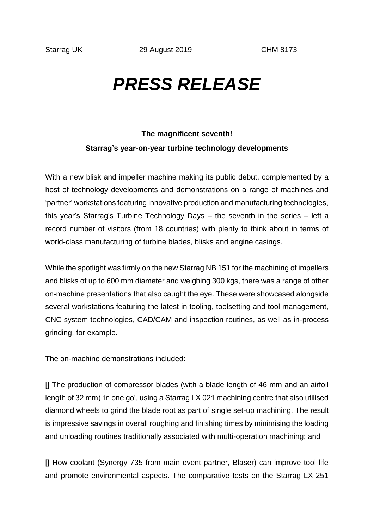## *PRESS RELEASE*

## **The magnificent seventh! Starrag's year-on-year turbine technology developments**

With a new blisk and impeller machine making its public debut, complemented by a host of technology developments and demonstrations on a range of machines and 'partner' workstations featuring innovative production and manufacturing technologies, this year's Starrag's Turbine Technology Days – the seventh in the series – left a record number of visitors (from 18 countries) with plenty to think about in terms of world-class manufacturing of turbine blades, blisks and engine casings.

While the spotlight was firmly on the new Starrag NB 151 for the machining of impellers and blisks of up to 600 mm diameter and weighing 300 kgs, there was a range of other on-machine presentations that also caught the eye. These were showcased alongside several workstations featuring the latest in tooling, toolsetting and tool management, CNC system technologies, CAD/CAM and inspection routines, as well as in-process grinding, for example.

The on-machine demonstrations included:

[] The production of compressor blades (with a blade length of 46 mm and an airfoil length of 32 mm) 'in one go', using a Starrag LX 021 machining centre that also utilised diamond wheels to grind the blade root as part of single set-up machining. The result is impressive savings in overall roughing and finishing times by minimising the loading and unloading routines traditionally associated with multi-operation machining; and

[] How coolant (Synergy 735 from main event partner, Blaser) can improve tool life and promote environmental aspects. The comparative tests on the Starrag LX 251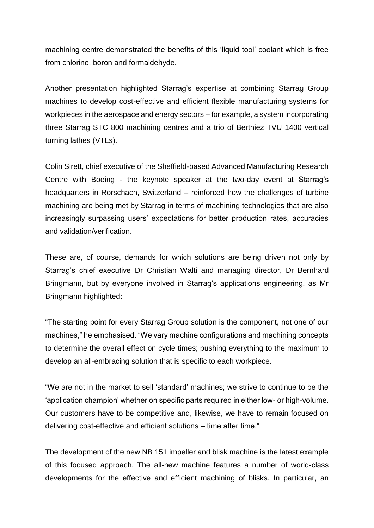machining centre demonstrated the benefits of this 'liquid tool' coolant which is free from chlorine, boron and formaldehyde.

Another presentation highlighted Starrag's expertise at combining Starrag Group machines to develop cost-effective and efficient flexible manufacturing systems for workpieces in the aerospace and energy sectors – for example, a system incorporating three Starrag STC 800 machining centres and a trio of Berthiez TVU 1400 vertical turning lathes (VTLs).

Colin Sirett, chief executive of the Sheffield-based Advanced Manufacturing Research Centre with Boeing - the keynote speaker at the two-day event at Starrag's headquarters in Rorschach, Switzerland – reinforced how the challenges of turbine machining are being met by Starrag in terms of machining technologies that are also increasingly surpassing users' expectations for better production rates, accuracies and validation/verification.

These are, of course, demands for which solutions are being driven not only by Starrag's chief executive Dr Christian Walti and managing director, Dr Bernhard Bringmann, but by everyone involved in Starrag's applications engineering, as Mr Bringmann highlighted:

"The starting point for every Starrag Group solution is the component, not one of our machines," he emphasised. "We vary machine configurations and machining concepts to determine the overall effect on cycle times; pushing everything to the maximum to develop an all-embracing solution that is specific to each workpiece.

"We are not in the market to sell 'standard' machines; we strive to continue to be the 'application champion' whether on specific parts required in either low- or high-volume. Our customers have to be competitive and, likewise, we have to remain focused on delivering cost-effective and efficient solutions – time after time."

The development of the new NB 151 impeller and blisk machine is the latest example of this focused approach. The all-new machine features a number of world-class developments for the effective and efficient machining of blisks. In particular, an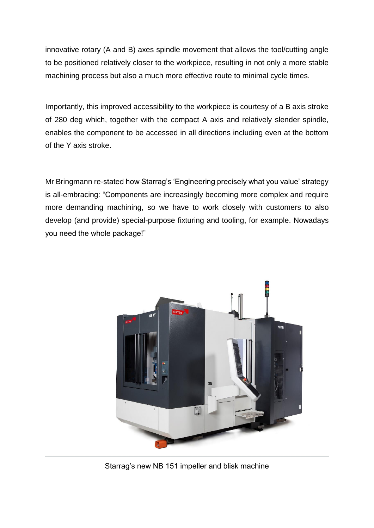innovative rotary (A and B) axes spindle movement that allows the tool/cutting angle to be positioned relatively closer to the workpiece, resulting in not only a more stable machining process but also a much more effective route to minimal cycle times.

Importantly, this improved accessibility to the workpiece is courtesy of a B axis stroke of 280 deg which, together with the compact A axis and relatively slender spindle, enables the component to be accessed in all directions including even at the bottom of the Y axis stroke.

Mr Bringmann re-stated how Starrag's 'Engineering precisely what you value' strategy is all-embracing: "Components are increasingly becoming more complex and require more demanding machining, so we have to work closely with customers to also develop (and provide) special-purpose fixturing and tooling, for example. Nowadays you need the whole package!"



Starrag's new NB 151 impeller and blisk machine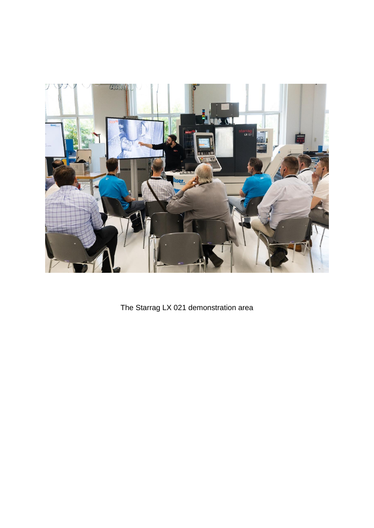

The Starrag LX 021 demonstration area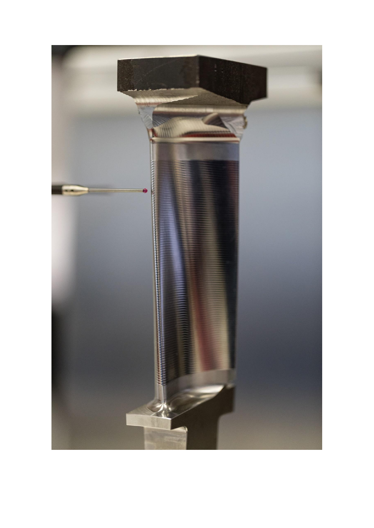